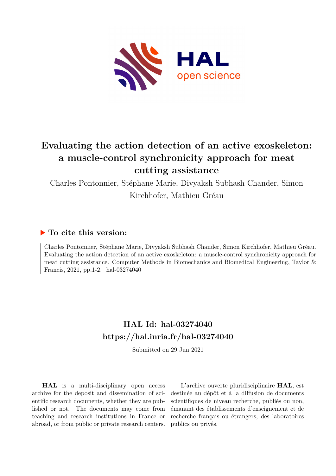

# **Evaluating the action detection of an active exoskeleton: a muscle-control synchronicity approach for meat cutting assistance**

Charles Pontonnier, Stéphane Marie, Divyaksh Subhash Chander, Simon Kirchhofer, Mathieu Gréau

## **To cite this version:**

Charles Pontonnier, Stéphane Marie, Divyaksh Subhash Chander, Simon Kirchhofer, Mathieu Gréau. Evaluating the action detection of an active exoskeleton: a muscle-control synchronicity approach for meat cutting assistance. Computer Methods in Biomechanics and Biomedical Engineering, Taylor & Francis, 2021, pp.1-2. hal-03274040

# **HAL Id: hal-03274040 <https://hal.inria.fr/hal-03274040>**

Submitted on 29 Jun 2021

**HAL** is a multi-disciplinary open access archive for the deposit and dissemination of scientific research documents, whether they are published or not. The documents may come from teaching and research institutions in France or abroad, or from public or private research centers.

L'archive ouverte pluridisciplinaire **HAL**, est destinée au dépôt et à la diffusion de documents scientifiques de niveau recherche, publiés ou non, émanant des établissements d'enseignement et de recherche français ou étrangers, des laboratoires publics ou privés.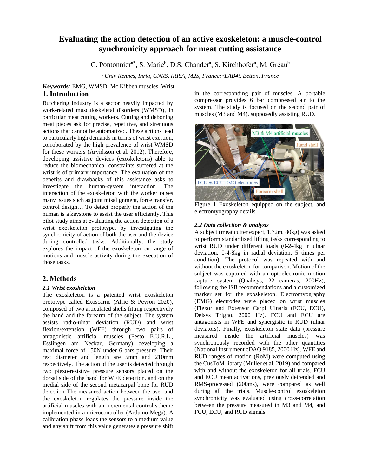## **Evaluating the action detection of an active exoskeleton: a muscle-control synchronicity approach for meat cutting assistance**

C. Pontonnier<sup>a\*</sup>, S. Marie<sup>b</sup>, D.S. Chander<sup>a</sup>, S. Kirchhofer<sup>a</sup>, M. Gréau<sup>b</sup>

*<sup>a</sup>Univ Rennes, Inria, CNRS, IRISA, M2S, France; <sup>b</sup>LAB4i, Betton, France*

## **Keywords***:* EMG, WMSD, Mc Kibben muscles, Wrist **1. Introduction**

Butchering industry is a sector heavily impacted by work-related musculoskeletal disorders (WMSD), in particular meat cutting workers. Cutting and deboning meat pieces ask for precise, repetitive, and strenuous actions that cannot be automatized. These actions lead to particularly high demands in terms of wrist exertion, corroborated by the high prevalence of wrist WMSD for these workers (Arvidsson et al. 2012). Therefore, developing assistive devices (exoskeletons) able to reduce the biomechanical constraints suffered at the wrist is of primary importance. The evaluation of the benefits and drawbacks of this assistance asks to investigate the human-system interaction. The interaction of the exoskeleton with the worker raises many issues such as joint misalignment, force transfer, control design… To detect properly the action of the human is a keystone to assist the user efficiently. This pilot study aims at evaluating the action detection of a wrist exoskeleton prototype, by investigating the synchronicity of action of both the user and the device during controlled tasks. Additionally, the study explores the impact of the exoskeleton on range of motions and muscle activity during the execution of those tasks.

## **2. Methods**

### *2.1 Wrist exoskeleton*

The exoskeleton is a patented wrist exoskeleton prototype called Exoscarne (Alric & Peyron 2020), composed of two articulated shells fitting respectively the hand and the forearm of the subject. The system assists radio-ulnar deviation (RUD) and wrist flexion/extension (WFE) through two pairs of antagonistic artificial muscles (Festo E.U.R.L., Esslingen am Neckar, Germany) developing a maximal force of 150N under 6 bars pressure. Their rest diameter and length are 5mm and 210mm respectively. The action of the user is detected through two piezo-resistive pressure sensors placed on the dorsal side of the hand for WFE detection, and on the medial side of the second metacarpal bone for RUD detection The measured action between the user and the exoskeleton regulates the pressure inside the artificial muscles with an incremental control scheme implemented in a microcontroller (Arduino Mega). A calibration phase loads the sensors to a medium value and any shift from this value generates a pressure shift

in the corresponding pair of muscles. A portable compressor provides 6 bar compressed air to the system. The study is focused on the second pair of muscles (M3 and M4), supposedly assisting RUD.



Figure 1 Exoskeleton equipped on the subject, and electromyography details.

### *2.2 Data collection & analysis*

A subject (meat cutter expert, 1.72m, 80kg) was asked to perform standardized lifting tasks corresponding to wrist RUD under different loads (0-2-4kg in ulnar deviation, 0-4-8kg in radial deviation, 5 times per condition). The protocol was repeated with and without the exoskeleton for comparison. Motion of the subject was captured with an optoelectronic motion capture system (Qualisys, 22 cameras, 200Hz), following the ISB recommendations and a customized marker set for the exoskeleton. Electromyography (EMG) electrodes were placed on wrist muscles (Flexor and Extensor Carpi Ulnaris (FCU, ECU), Delsys Trigno, 2000 Hz). FCU and ECU are antagonists in WFE and synergistic in RUD (ulnar deviators). Finally, exoskeleton state data (pressure measured inside the artificial muscles) was synchronously recorded with the other quantities (National Instrument cDAQ 9185, 2000 Hz). WFE and RUD ranges of motion (RoM) were computed using the CusToM library (Muller et al. 2019) and compared with and without the exoskeleton for all trials. FCU and ECU mean activations, previously detrended and RMS-processed (200ms), were compared as well during all the trials. Muscle-control exoskeleton synchronicity was evaluated using cross-correlation between the pressure measured in M3 and M4, and FCU, ECU, and RUD signals.